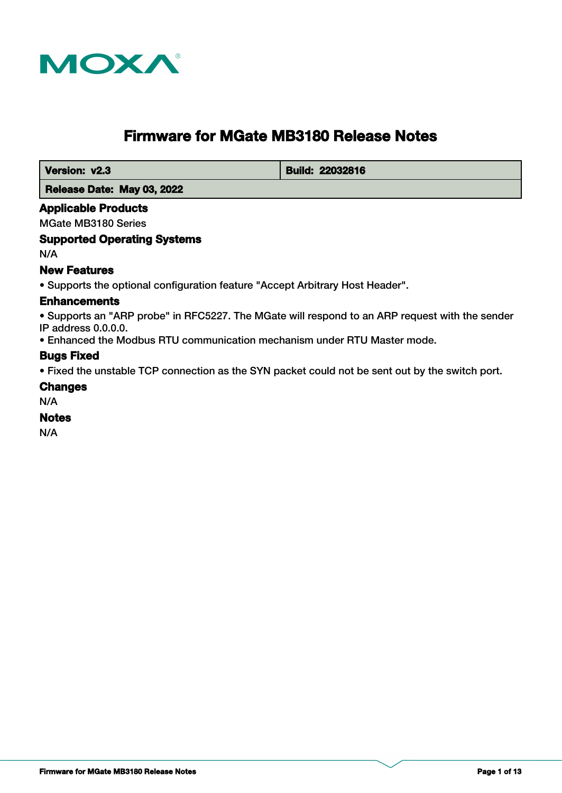

# **Firmware for MGate MB3180 Release Notes**

**Version: v2.3 Build: 22032816** 

 **Release Date: May 03, 2022**

### **Applicable Products**

MGate MB3180 Series

### **Supported Operating Systems**

N/A

### **New Features**

• Supports the optional configuration feature "Accept Arbitrary Host Header".

# **Enhancements**

• Supports an "ARP probe" in RFC5227. The MGate will respond to an ARP request with the sender IP address 0.0.0.0.

• Enhanced the Modbus RTU communication mechanism under RTU Master mode.

# **Bugs Fixed**

• Fixed the unstable TCP connection as the SYN packet could not be sent out by the switch port.

### **Changes**

N/A

# **Notes**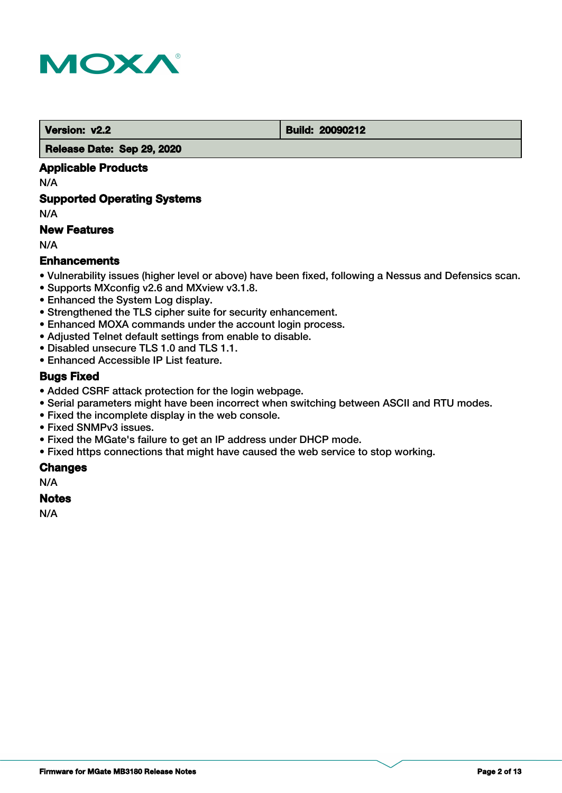

 **Version: v2.2 Build: 20090212** 

 **Release Date: Sep 29, 2020**

# **Applicable Products**

N/A

# **Supported Operating Systems**

N/A

# **New Features**

N/A

# **Enhancements**

- Vulnerability issues (higher level or above) have been fixed, following a Nessus and Defensics scan.
- Supports MXconfig v2.6 and MXview v3.1.8.
- Enhanced the System Log display.
- Strengthened the TLS cipher suite for security enhancement.
- Enhanced MOXA commands under the account login process.
- Adjusted Telnet default settings from enable to disable.
- Disabled unsecure TLS 1.0 and TLS 1.1.
- Enhanced Accessible IP List feature.

# **Bugs Fixed**

- Added CSRF attack protection for the login webpage.
- Serial parameters might have been incorrect when switching between ASCII and RTU modes.
- Fixed the incomplete display in the web console.
- Fixed SNMPv3 issues.
- Fixed the MGate's failure to get an IP address under DHCP mode.
- Fixed https connections that might have caused the web service to stop working.

### **Changes**

N/A

### **Notes**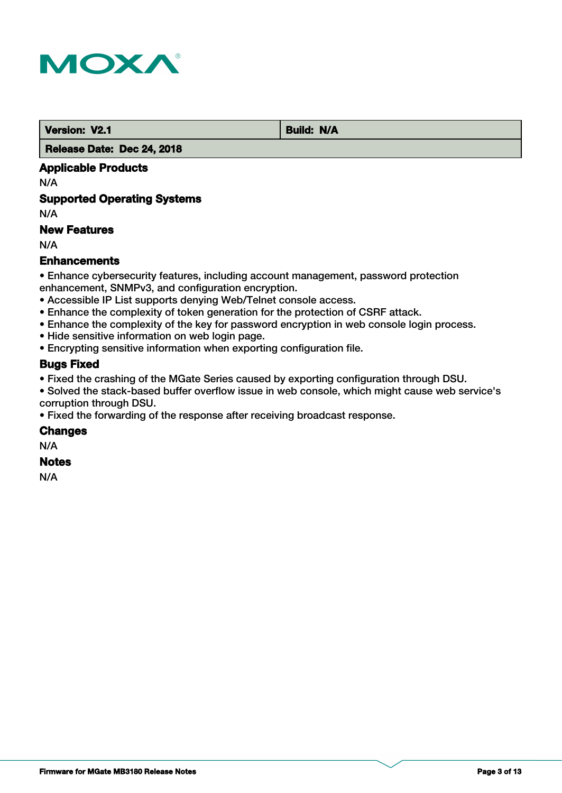

 **Version: V2.1 Build: N/A** 

 **Release Date: Dec 24, 2018**

# **Applicable Products**

N/A

# **Supported Operating Systems**

N/A

# **New Features**

N/A

# **Enhancements**

• Enhance cybersecurity features, including account management, password protection enhancement, SNMPv3, and configuration encryption.

- Accessible IP List supports denying Web/Telnet console access.
- Enhance the complexity of token generation for the protection of CSRF attack.
- Enhance the complexity of the key for password encryption in web console login process.
- Hide sensitive information on web login page.
- Encrypting sensitive information when exporting configuration file.

# **Bugs Fixed**

• Fixed the crashing of the MGate Series caused by exporting configuration through DSU.

• Solved the stack-based buffer overflow issue in web console, which might cause web service's corruption through DSU.

• Fixed the forwarding of the response after receiving broadcast response.

### **Changes**

N/A

### **Notes**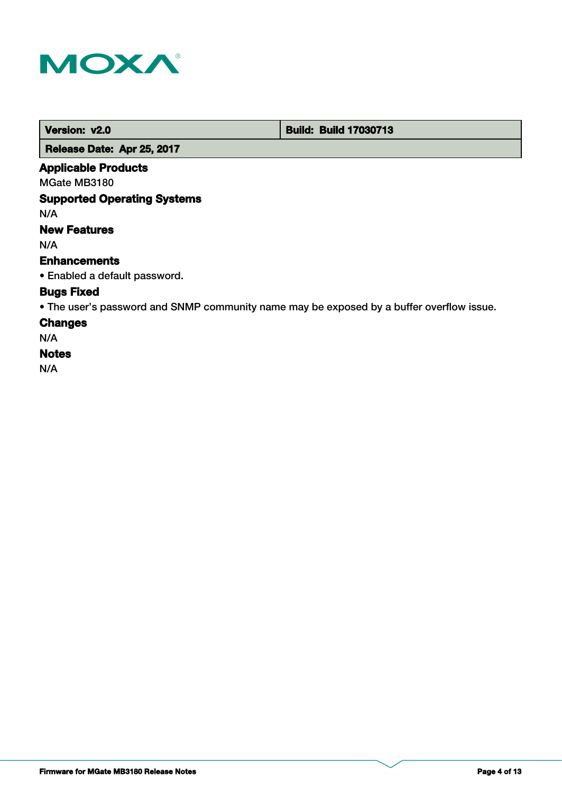

 **Version: v2.0 Build: Build: Build 17030713** 

 **Release Date: Apr 25, 2017**

# **Applicable Products**

MGate MB3180

# **Supported Operating Systems**

N/A

# **New Features**

N/A

# **Enhancements**

• Enabled a default password.

# **Bugs Fixed**

• The user's password and SNMP community name may be exposed by a buffer overflow issue.

# **Changes**

N/A

# **Notes**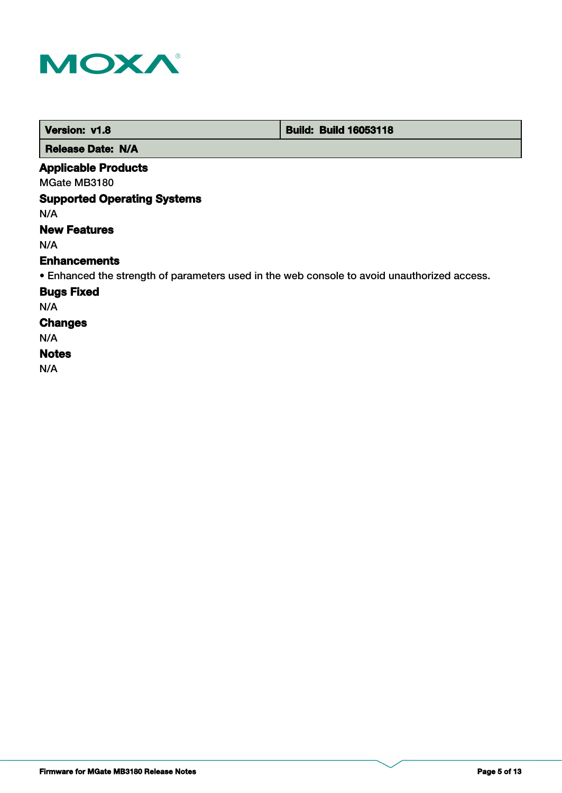

| Version: v1.8            | <b>Build: Build 16053118</b> |
|--------------------------|------------------------------|
| <b>Release Date: N/A</b> |                              |

# **Applicable Products**

MGate MB3180

# **Supported Operating Systems**

N/A

# **New Features**

N/A

#### **Enhancements**

• Enhanced the strength of parameters used in the web console to avoid unauthorized access.

### **Bugs Fixed**

N/A

# **Changes**

N/A

# **Notes**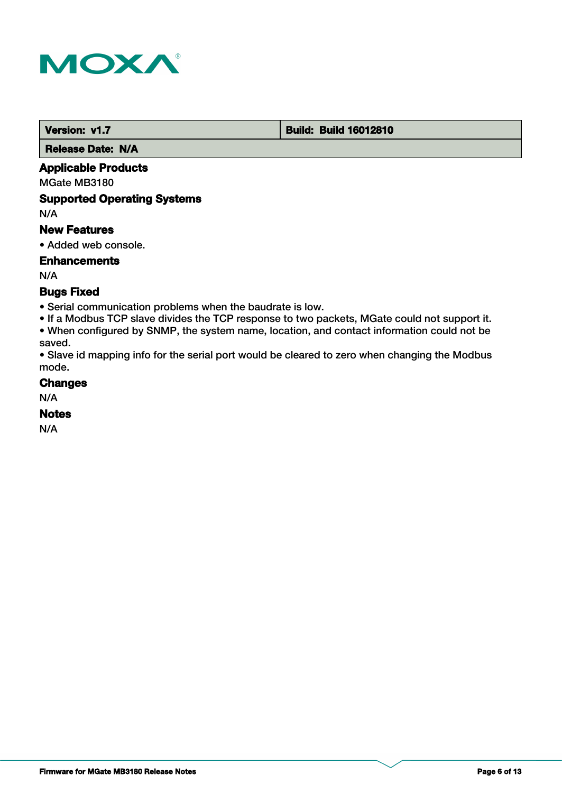

 **Version: v1.7 Build: Build: Build 16012810** 

 **Release Date: N/A**

# **Applicable Products**

MGate MB3180

# **Supported Operating Systems**

N/A

### **New Features**

• Added web console.

# **Enhancements**

N/A

# **Bugs Fixed**

• Serial communication problems when the baudrate is low.

• If a Modbus TCP slave divides the TCP response to two packets, MGate could not support it. • When configured by SNMP, the system name, location, and contact information could not be saved.

• Slave id mapping info for the serial port would be cleared to zero when changing the Modbus mode.

### **Changes**

N/A

# **Notes**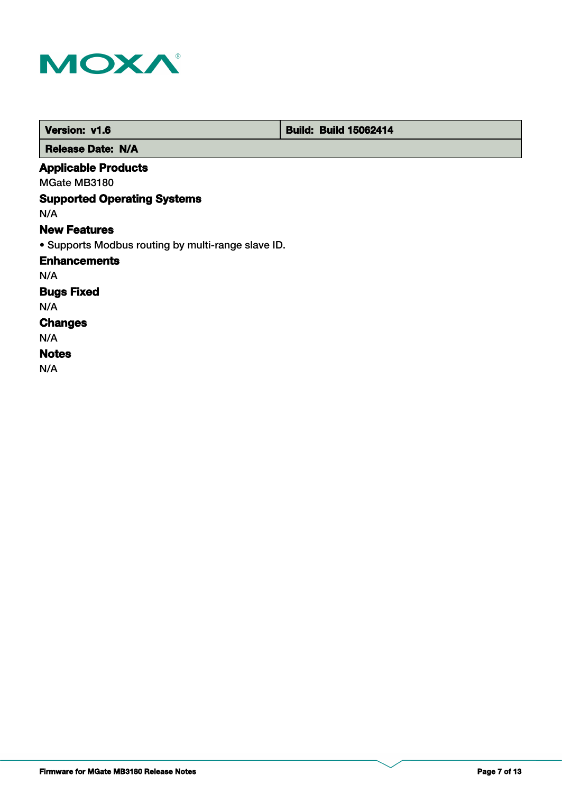

| Version: v1.6                                      | <b>Build: Build 15062414</b> |
|----------------------------------------------------|------------------------------|
| <b>Release Date: N/A</b>                           |                              |
| <b>Applicable Products</b>                         |                              |
| MGate MB3180                                       |                              |
| <b>Supported Operating Systems</b>                 |                              |
| N/A                                                |                              |
| <b>New Features</b>                                |                              |
| • Supports Modbus routing by multi-range slave ID. |                              |
| <b>Enhancements</b>                                |                              |
| N/A                                                |                              |
| <b>Bugs Fixed</b>                                  |                              |
| N/A                                                |                              |
| <b>Changes</b>                                     |                              |
| N/A                                                |                              |
| <b>Notes</b>                                       |                              |
| N/A                                                |                              |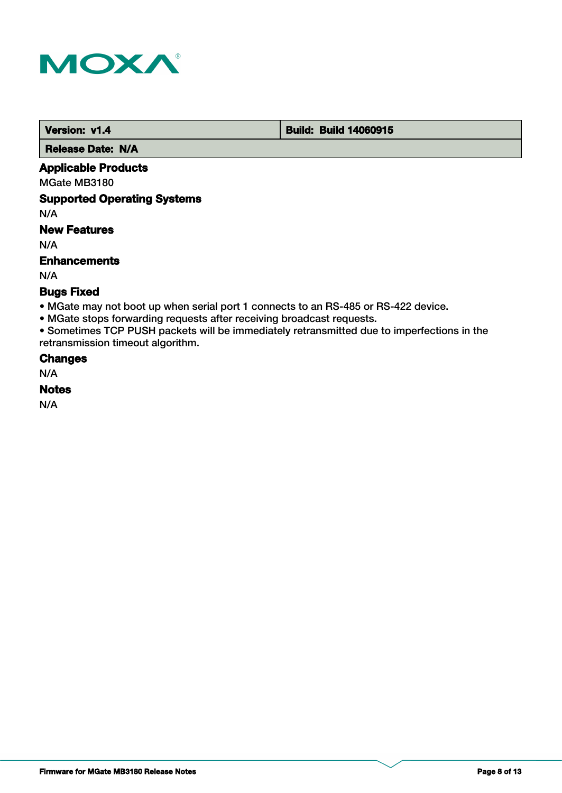

 **Version: v1.4 Build: Build: Build 14060915** 

 **Release Date: N/A**

# **Applicable Products**

MGate MB3180

### **Supported Operating Systems**

N/A

# **New Features**

N/A

### **Enhancements**

N/A

# **Bugs Fixed**

- MGate may not boot up when serial port 1 connects to an RS-485 or RS-422 device.
- MGate stops forwarding requests after receiving broadcast requests.

• Sometimes TCP PUSH packets will be immediately retransmitted due to imperfections in the retransmission timeout algorithm.

### **Changes**

N/A

### **Notes**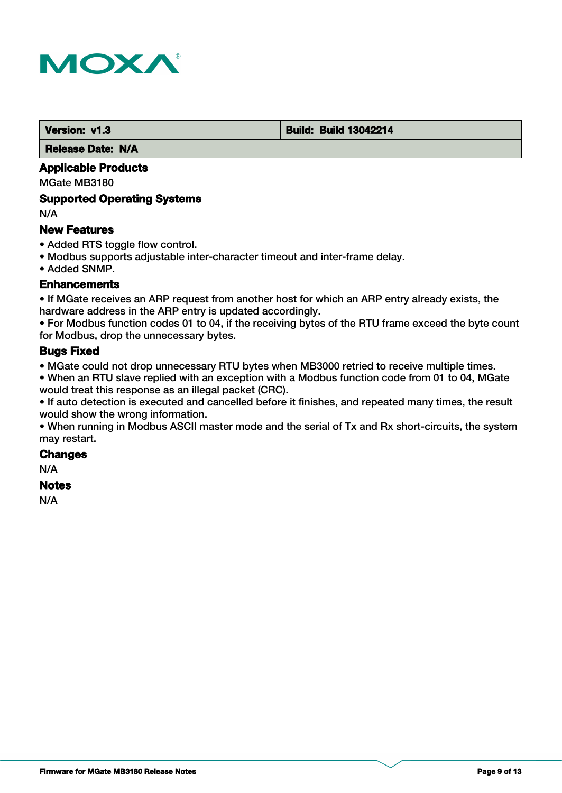

#### **Version: v1.3 Build: Build: Build 13042214**

 **Release Date: N/A**

# **Applicable Products**

MGate MB3180

### **Supported Operating Systems**

N/A

### **New Features**

- Added RTS toggle flow control.
- Modbus supports adjustable inter-character timeout and inter-frame delay.
- Added SNMP.

### **Enhancements**

• If MGate receives an ARP request from another host for which an ARP entry already exists, the hardware address in the ARP entry is updated accordingly.

• For Modbus function codes 01 to 04, if the receiving bytes of the RTU frame exceed the byte count for Modbus, drop the unnecessary bytes.

### **Bugs Fixed**

• MGate could not drop unnecessary RTU bytes when MB3000 retried to receive multiple times.

• When an RTU slave replied with an exception with a Modbus function code from 01 to 04, MGate would treat this response as an illegal packet (CRC).

• If auto detection is executed and cancelled before it finishes, and repeated many times, the result would show the wrong information.

• When running in Modbus ASCII master mode and the serial of Tx and Rx short-circuits, the system may restart.

# **Changes**

N/A

# **Notes**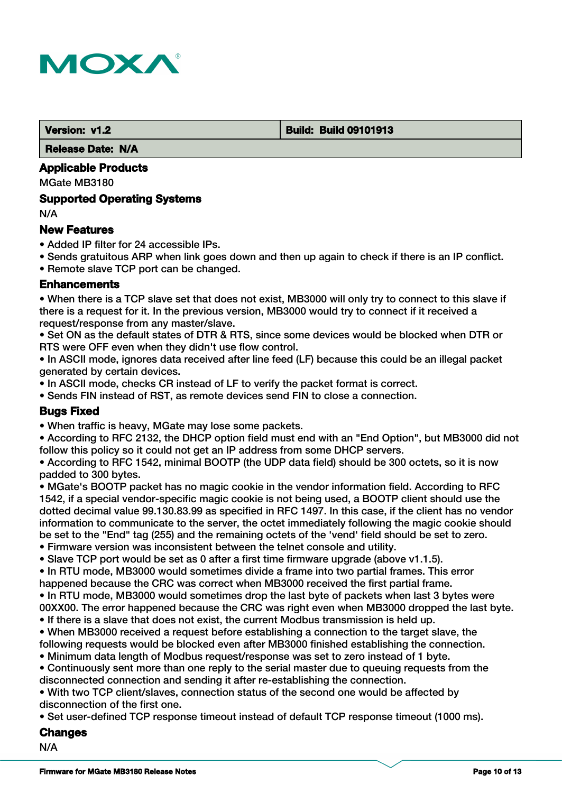

#### **Version: v1.2 Build: Build: Build 09101913**

 **Release Date: N/A**

# **Applicable Products**

MGate MB3180

### **Supported Operating Systems**

N/A

### **New Features**

- Added IP filter for 24 accessible IPs.
- Sends gratuitous ARP when link goes down and then up again to check if there is an IP conflict.

• Remote slave TCP port can be changed.

### **Enhancements**

• When there is a TCP slave set that does not exist, MB3000 will only try to connect to this slave if there is a request for it. In the previous version, MB3000 would try to connect if it received a request/response from any master/slave.

• Set ON as the default states of DTR & RTS, since some devices would be blocked when DTR or RTS were OFF even when they didn't use flow control.

• In ASCII mode, ignores data received after line feed (LF) because this could be an illegal packet generated by certain devices.

• In ASCII mode, checks CR instead of LF to verify the packet format is correct.

• Sends FIN instead of RST, as remote devices send FIN to close a connection.

### **Bugs Fixed**

• When traffic is heavy, MGate may lose some packets.

• According to RFC 2132, the DHCP option field must end with an "End Option", but MB3000 did not follow this policy so it could not get an IP address from some DHCP servers.

• According to RFC 1542, minimal BOOTP (the UDP data field) should be 300 octets, so it is now padded to 300 bytes.

• MGate's BOOTP packet has no magic cookie in the vendor information field. According to RFC 1542, if a special vendor-specific magic cookie is not being used, a BOOTP client should use the dotted decimal value 99.130.83.99 as specified in RFC 1497. In this case, if the client has no vendor information to communicate to the server, the octet immediately following the magic cookie should be set to the "End" tag (255) and the remaining octets of the 'vend' field should be set to zero.

- Firmware version was inconsistent between the telnet console and utility.
- Slave TCP port would be set as 0 after a first time firmware upgrade (above v1.1.5).

• In RTU mode, MB3000 would sometimes divide a frame into two partial frames. This error happened because the CRC was correct when MB3000 received the first partial frame. • In RTU mode, MB3000 would sometimes drop the last byte of packets when last 3 bytes were 00XX00. The error happened because the CRC was right even when MB3000 dropped the last byte.

- If there is a slave that does not exist, the current Modbus transmission is held up.
- When MB3000 received a request before establishing a connection to the target slave, the
- following requests would be blocked even after MB3000 finished establishing the connection.
- Minimum data length of Modbus request/response was set to zero instead of 1 byte.

• Continuously sent more than one reply to the serial master due to queuing requests from the disconnected connection and sending it after re-establishing the connection.

• With two TCP client/slaves, connection status of the second one would be affected by disconnection of the first one.

• Set user-defined TCP response timeout instead of default TCP response timeout (1000 ms).

### **Changes**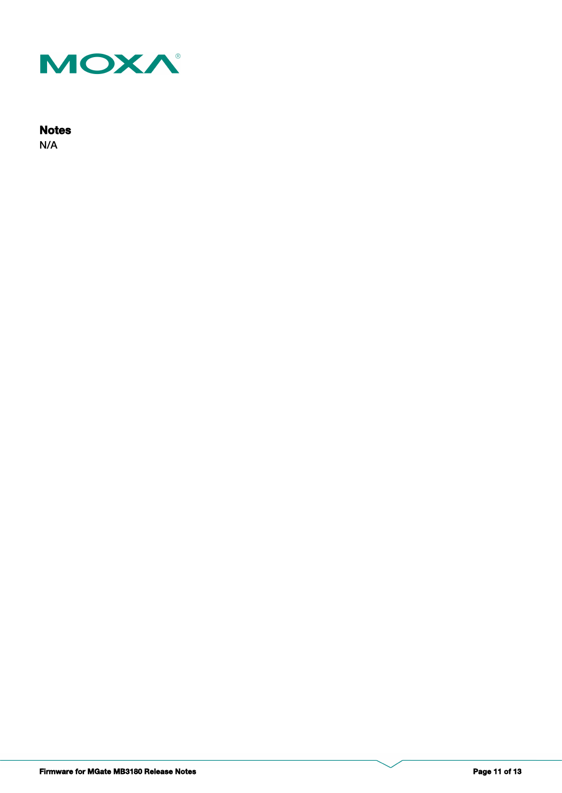

# **Notes**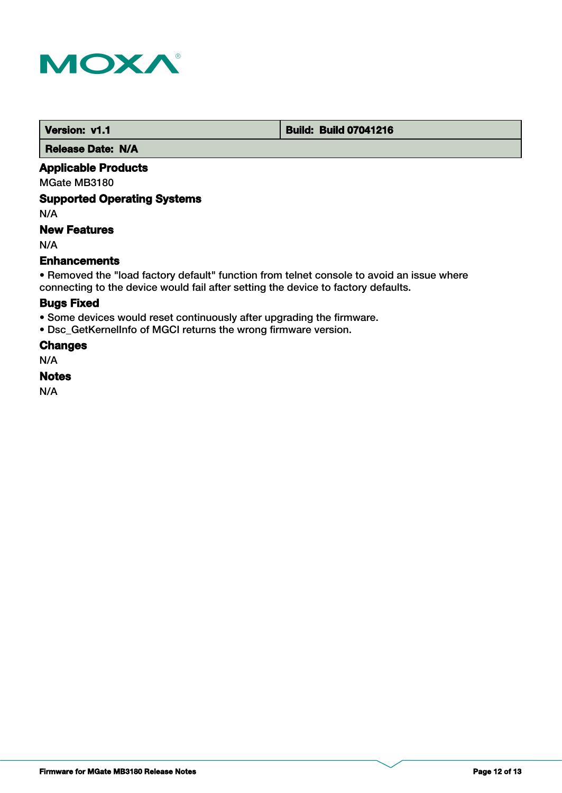

 **Version: v1.1 Version: v1.1 Build: Build: Build 07041216** 

 **Release Date: N/A**

# **Applicable Products**

MGate MB3180

# **Supported Operating Systems**

N/A

# **New Features**

N/A

### **Enhancements**

• Removed the "load factory default" function from telnet console to avoid an issue where connecting to the device would fail after setting the device to factory defaults.

# **Bugs Fixed**

• Some devices would reset continuously after upgrading the firmware.

• Dsc\_GetKernelInfo of MGCI returns the wrong firmware version.

# **Changes**

N/A

### **Notes**